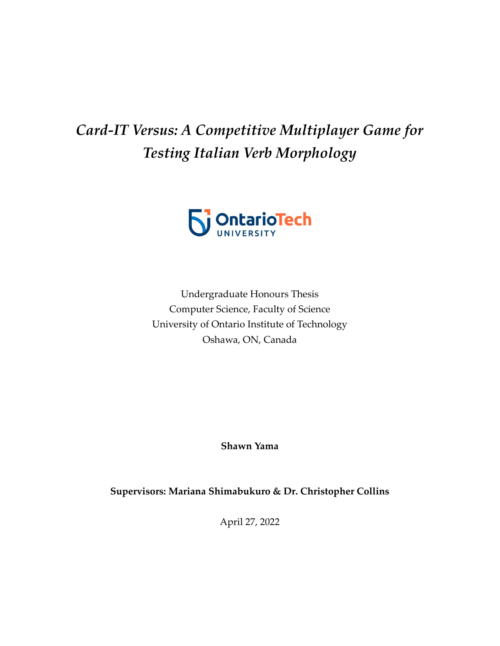# *Card-IT Versus: A Competitive Multiplayer Game for Testing Italian Verb Morphology*



Undergraduate Honours Thesis Computer Science, Faculty of Science University of Ontario Institute of Technology Oshawa, ON, Canada

**Shawn Yama**

**Supervisors: Mariana Shimabukuro & Dr. Christopher Collins**

April 27, 2022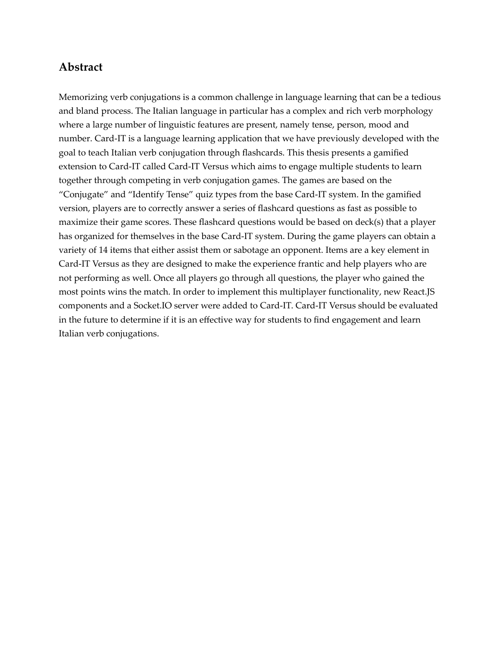## **Abstract**

Memorizing verb conjugations is a common challenge in language learning that can be a tedious and bland process. The Italian language in particular has a complex and rich verb morphology where a large number of linguistic features are present, namely tense, person, mood and number. Card-IT is a language learning application that we have previously developed with the goal to teach Italian verb conjugation through flashcards. This thesis presents a gamified extension to Card-IT called Card-IT Versus which aims to engage multiple students to learn together through competing in verb conjugation games. The games are based on the "Conjugate" and "Identify Tense" quiz types from the base Card-IT system. In the gamified version, players are to correctly answer a series of flashcard questions as fast as possible to maximize their game scores. These flashcard questions would be based on deck(s) that a player has organized for themselves in the base Card-IT system. During the game players can obtain a variety of 14 items that either assist them or sabotage an opponent. Items are a key element in Card-IT Versus as they are designed to make the experience frantic and help players who are not performing as well. Once all players go through all questions, the player who gained the most points wins the match. In order to implement this multiplayer functionality, new React.JS components and a Socket.IO server were added to Card-IT. Card-IT Versus should be evaluated in the future to determine if it is an effective way for students to find engagement and learn Italian verb conjugations.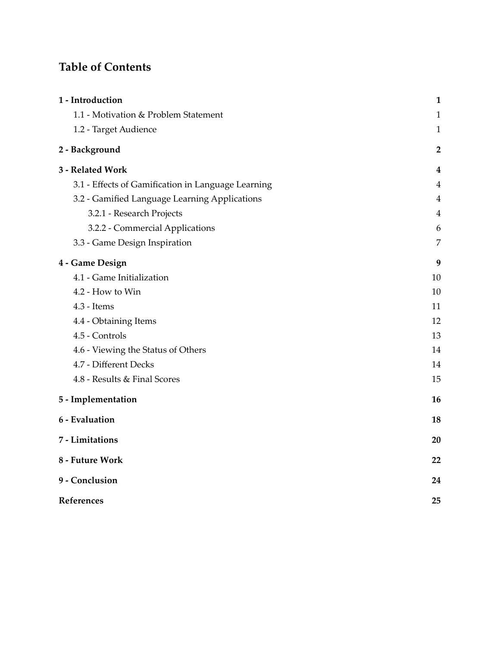# **Table of Contents**

| 1 - Introduction                                   |                |
|----------------------------------------------------|----------------|
| 1.1 - Motivation & Problem Statement               |                |
| 1.2 - Target Audience                              | $\mathbf{1}$   |
| 2 - Background                                     | $\overline{2}$ |
| 3 - Related Work                                   | 4              |
| 3.1 - Effects of Gamification in Language Learning | 4              |
| 3.2 - Gamified Language Learning Applications      | $\overline{4}$ |
| 3.2.1 - Research Projects                          | $\overline{4}$ |
| 3.2.2 - Commercial Applications                    | 6              |
| 3.3 - Game Design Inspiration                      | 7              |
| 4 - Game Design                                    | 9              |
| 4.1 - Game Initialization                          | 10             |
| 4.2 - How to Win                                   | 10             |
| $4.3$ - Items                                      | 11             |
| 4.4 - Obtaining Items                              | 12             |
| 4.5 - Controls                                     | 13             |
| 4.6 - Viewing the Status of Others                 | 14             |
| 4.7 - Different Decks                              | 14             |
| 4.8 - Results & Final Scores                       | 15             |
| 5 - Implementation                                 | 16             |
| 6 - Evaluation                                     | 18             |
| 7 - Limitations                                    | 20             |
| 8 - Future Work                                    | 22             |
| 9 - Conclusion                                     | 24             |
| References                                         | 25             |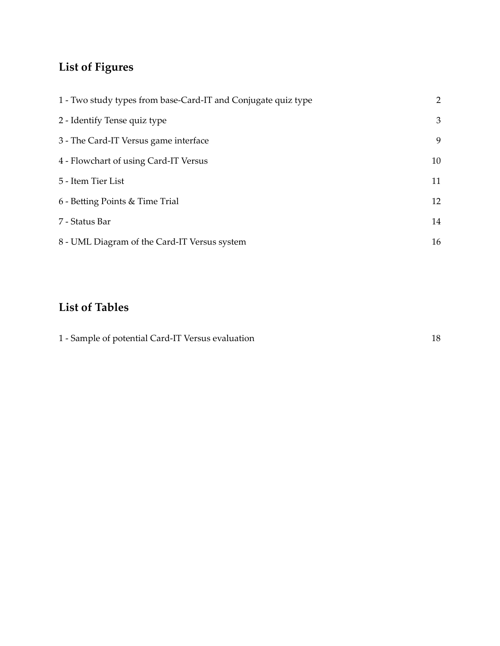# **List of Figures**

| 1 - Two study types from base-Card-IT and Conjugate quiz type |    |
|---------------------------------------------------------------|----|
| 2 - Identify Tense quiz type                                  | 3  |
| 3 - The Card-IT Versus game interface                         | 9  |
| 4 - Flowchart of using Card-IT Versus                         | 10 |
| 5 - Item Tier List                                            | 11 |
| 6 - Betting Points & Time Trial                               | 12 |
| 7 - Status Bar                                                | 14 |
| 8 - UML Diagram of the Card-IT Versus system                  | 16 |

# **List of Tables**

| 1 - Sample of potential Card-IT Versus evaluation |  |
|---------------------------------------------------|--|
|---------------------------------------------------|--|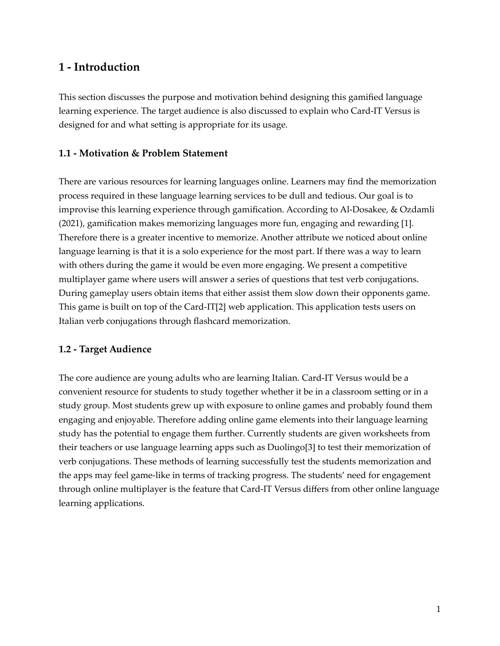# <span id="page-4-0"></span>**1 - Introduction**

This section discusses the purpose and motivation behind designing this gamified language learning experience. The target audience is also discussed to explain who Card-IT Versus is designed for and what setting is appropriate for its usage.

### <span id="page-4-1"></span>**1.1 - Motivation & Problem Statement**

There are various resources for learning languages online. Learners may find the memorization process required in these language learning services to be dull and tedious. Our goal is to improvise this learning experience through gamification. According to Al-Dosakee, & Ozdamli (2021), gamification makes memorizing languages more fun, engaging and rewarding [1]. Therefore there is a greater incentive to memorize. Another attribute we noticed about online language learning is that it is a solo experience for the most part. If there was a way to learn with others during the game it would be even more engaging. We present a competitive multiplayer game where users will answer a series of questions that test verb conjugations. During gameplay users obtain items that either assist them slow down their opponents game. This game is built on top of the Card-IT[2] web application. This application tests users on Italian verb conjugations through flashcard memorization.

### <span id="page-4-2"></span>**1.2 - Target Audience**

The core audience are young adults who are learning Italian. Card-IT Versus would be a convenient resource for students to study together whether it be in a classroom setting or in a study group. Most students grew up with exposure to online games and probably found them engaging and enjoyable. Therefore adding online game elements into their language learning study has the potential to engage them further. Currently students are given worksheets from their teachers or use language learning apps such as Duolingo[3] to test their memorization of verb conjugations. These methods of learning successfully test the students memorization and the apps may feel game-like in terms of tracking progress. The students' need for engagement through online multiplayer is the feature that Card-IT Versus differs from other online language learning applications.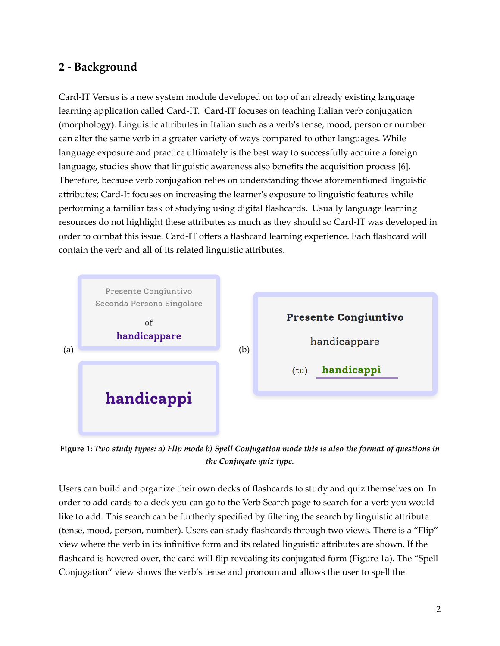# <span id="page-5-0"></span>**2 - Background**

Card-IT Versus is a new system module developed on top of an already existing language learning application called Card-IT. Card-IT focuses on teaching Italian verb conjugation (morphology). Linguistic attributes in Italian such as a verb's tense, mood, person or number can alter the same verb in a greater variety of ways compared to other languages. While language exposure and practice ultimately is the best way to successfully acquire a foreign language, studies show that linguistic awareness also benefits the acquisition process [6]. Therefore, because verb conjugation relies on understanding those aforementioned linguistic attributes; Card-It focuses on increasing the learner's exposure to linguistic features while performing a familiar task of studying using digital flashcards. Usually language learning resources do not highlight these attributes as much as they should so Card-IT was developed in order to combat this issue. Card-IT offers a flashcard learning experience. Each flashcard will contain the verb and all of its related linguistic attributes.



Figure 1: Two study types: a) Flip mode b) Spell Conjugation mode this is also the format of questions in *the Conjugate quiz type.*

Users can build and organize their own decks of flashcards to study and quiz themselves on. In order to add cards to a deck you can go to the Verb Search page to search for a verb you would like to add. This search can be furtherly specified by filtering the search by linguistic attribute (tense, mood, person, number). Users can study flashcards through two views. There is a "Flip" view where the verb in its infinitive form and its related linguistic attributes are shown. If the flashcard is hovered over, the card will flip revealing its conjugated form (Figure 1a). The "Spell Conjugation" view shows the verb's tense and pronoun and allows the user to spell the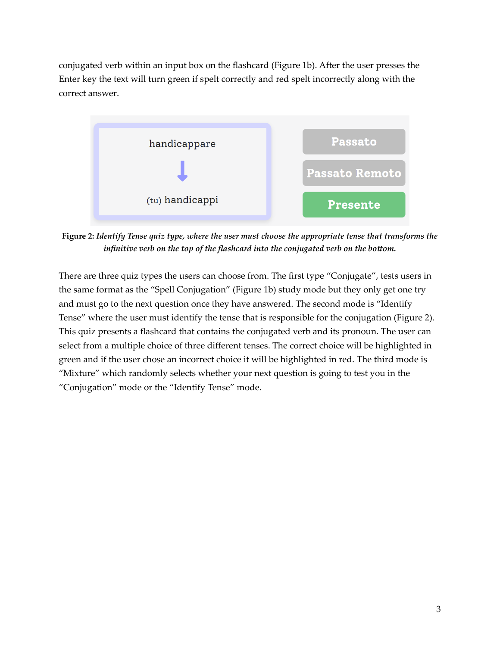conjugated verb within an input box on the flashcard (Figure 1b). After the user presses the Enter key the text will turn green if spelt correctly and red spelt incorrectly along with the correct answer.



**Figure 2:** *Identify Tense quiz type, where the user must choose the appropriate tense that transforms the infinitive verb on the top of the flashcard into the conjugated verb on the bottom.*

There are three quiz types the users can choose from. The first type "Conjugate", tests users in the same format as the "Spell Conjugation" (Figure 1b) study mode but they only get one try and must go to the next question once they have answered. The second mode is "Identify Tense" where the user must identify the tense that is responsible for the conjugation (Figure 2). This quiz presents a flashcard that contains the conjugated verb and its pronoun. The user can select from a multiple choice of three different tenses. The correct choice will be highlighted in green and if the user chose an incorrect choice it will be highlighted in red. The third mode is "Mixture" which randomly selects whether your next question is going to test you in the "Conjugation" mode or the "Identify Tense" mode.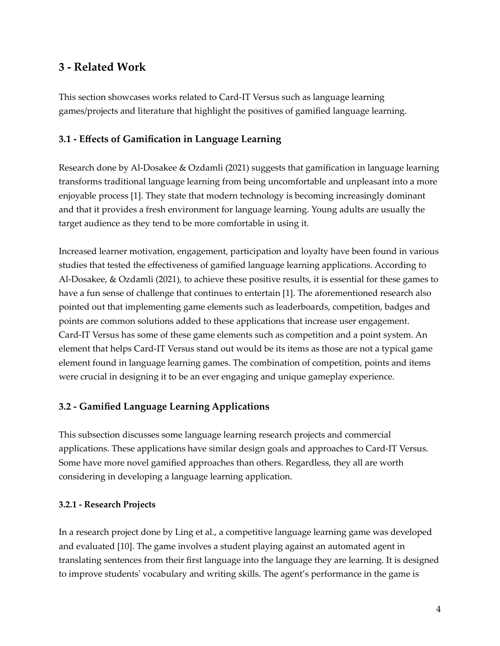# <span id="page-7-0"></span>**3 - Related Work**

This section showcases works related to Card-IT Versus such as language learning games/projects and literature that highlight the positives of gamified language learning.

## <span id="page-7-1"></span>**3.1 - Effects of Gamification in Language Learning**

Research done by Al-Dosakee & Ozdamli (2021) suggests that gamification in language learning transforms traditional language learning from being uncomfortable and unpleasant into a more enjoyable process [1]. They state that modern technology is becoming increasingly dominant and that it provides a fresh environment for language learning. Young adults are usually the target audience as they tend to be more comfortable in using it.

Increased learner motivation, engagement, participation and loyalty have been found in various studies that tested the effectiveness of gamified language learning applications. According to Al-Dosakee, & Ozdamli (2021), to achieve these positive results, it is essential for these games to have a fun sense of challenge that continues to entertain [1]. The aforementioned research also pointed out that implementing game elements such as leaderboards, competition, badges and points are common solutions added to these applications that increase user engagement. Card-IT Versus has some of these game elements such as competition and a point system. An element that helps Card-IT Versus stand out would be its items as those are not a typical game element found in language learning games. The combination of competition, points and items were crucial in designing it to be an ever engaging and unique gameplay experience.

## <span id="page-7-2"></span>**3.2 - Gamified Language Learning Applications**

This subsection discusses some language learning research projects and commercial applications. These applications have similar design goals and approaches to Card-IT Versus. Some have more novel gamified approaches than others. Regardless, they all are worth considering in developing a language learning application.

#### <span id="page-7-3"></span>**3.2.1 - Research Projects**

In a research project done by Ling et al., a competitive language learning game was developed and evaluated [10]. The game involves a student playing against an automated agent in translating sentences from their first language into the language they are learning. It is designed to improve students' vocabulary and writing skills. The agent's performance in the game is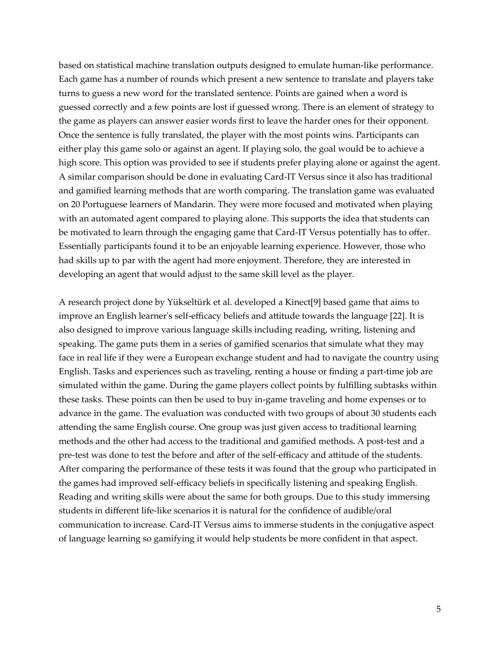based on statistical machine translation outputs designed to emulate human-like performance. Each game has a number of rounds which present a new sentence to translate and players take turns to guess a new word for the translated sentence. Points are gained when a word is guessed correctly and a few points are lost if guessed wrong. There is an element of strategy to the game as players can answer easier words first to leave the harder ones for their opponent. Once the sentence is fully translated, the player with the most points wins. Participants can either play this game solo or against an agent. If playing solo, the goal would be to achieve a high score. This option was provided to see if students prefer playing alone or against the agent. A similar comparison should be done in evaluating Card-IT Versus since it also has traditional and gamified learning methods that are worth comparing. The translation game was evaluated on 20 Portuguese learners of Mandarin. They were more focused and motivated when playing with an automated agent compared to playing alone. This supports the idea that students can be motivated to learn through the engaging game that Card-IT Versus potentially has to offer. Essentially participants found it to be an enjoyable learning experience. However, those who had skills up to par with the agent had more enjoyment. Therefore, they are interested in developing an agent that would adjust to the same skill level as the player.

A research project done by Yükseltürk et al. developed a Kinect[9] based game that aims to improve an English learner's self-efficacy beliefs and attitude towards the language [22]. It is also designed to improve various language skills including reading, writing, listening and speaking. The game puts them in a series of gamified scenarios that simulate what they may face in real life if they were a European exchange student and had to navigate the country using English. Tasks and experiences such as traveling, renting a house or finding a part-time job are simulated within the game. During the game players collect points by fulfilling subtasks within these tasks. These points can then be used to buy in-game traveling and home expenses or to advance in the game. The evaluation was conducted with two groups of about 30 students each attending the same English course. One group was just given access to traditional learning methods and the other had access to the traditional and gamified methods. A post-test and a pre-test was done to test the before and after of the self-efficacy and attitude of the students. After comparing the performance of these tests it was found that the group who participated in the games had improved self-efficacy beliefs in specifically listening and speaking English. Reading and writing skills were about the same for both groups. Due to this study immersing students in different life-like scenarios it is natural for the confidence of audible/oral communication to increase. Card-IT Versus aims to immerse students in the conjugative aspect of language learning so gamifying it would help students be more confident in that aspect.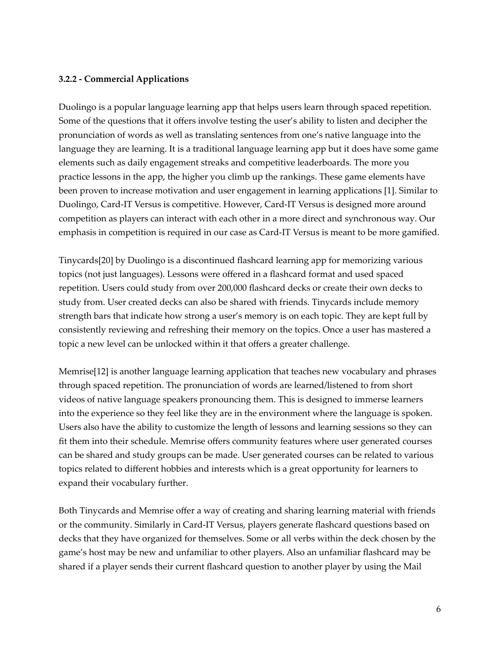#### <span id="page-9-0"></span>**3.2.2 - Commercial Applications**

Duolingo is a popular language learning app that helps users learn through spaced repetition. Some of the questions that it offers involve testing the user's ability to listen and decipher the pronunciation of words as well as translating sentences from one's native language into the language they are learning. It is a traditional language learning app but it does have some game elements such as daily engagement streaks and competitive leaderboards. The more you practice lessons in the app, the higher you climb up the rankings. These game elements have been proven to increase motivation and user engagement in learning applications [1]. Similar to Duolingo, Card-IT Versus is competitive. However, Card-IT Versus is designed more around competition as players can interact with each other in a more direct and synchronous way. Our emphasis in competition is required in our case as Card-IT Versus is meant to be more gamified.

Tinycards[20] by Duolingo is a discontinued flashcard learning app for memorizing various topics (not just languages). Lessons were offered in a flashcard format and used spaced repetition. Users could study from over 200,000 flashcard decks or create their own decks to study from. User created decks can also be shared with friends. Tinycards include memory strength bars that indicate how strong a user's memory is on each topic. They are kept full by consistently reviewing and refreshing their memory on the topics. Once a user has mastered a topic a new level can be unlocked within it that offers a greater challenge.

Memrise[12] is another language learning application that teaches new vocabulary and phrases through spaced repetition. The pronunciation of words are learned/listened to from short videos of native language speakers pronouncing them. This is designed to immerse learners into the experience so they feel like they are in the environment where the language is spoken. Users also have the ability to customize the length of lessons and learning sessions so they can fit them into their schedule. Memrise offers community features where user generated courses can be shared and study groups can be made. User generated courses can be related to various topics related to different hobbies and interests which is a great opportunity for learners to expand their vocabulary further.

Both Tinycards and Memrise offer a way of creating and sharing learning material with friends or the community. Similarly in Card-IT Versus, players generate flashcard questions based on decks that they have organized for themselves. Some or all verbs within the deck chosen by the game's host may be new and unfamiliar to other players. Also an unfamiliar flashcard may be shared if a player sends their current flashcard question to another player by using the Mail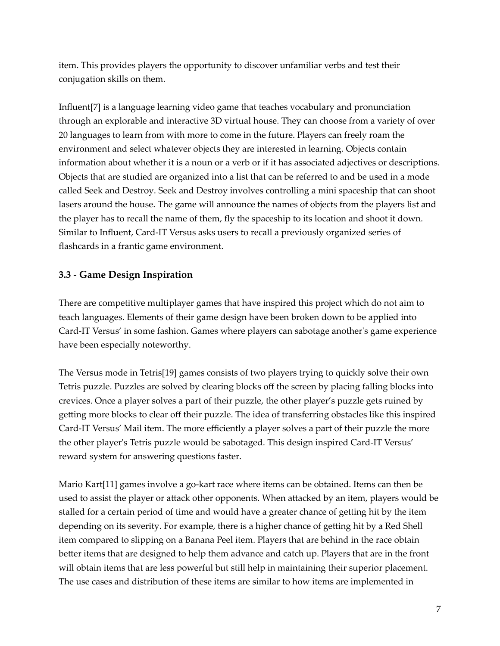item. This provides players the opportunity to discover unfamiliar verbs and test their conjugation skills on them.

Influent[7] is a language learning video game that teaches vocabulary and pronunciation through an explorable and interactive 3D virtual house. They can choose from a variety of over 20 languages to learn from with more to come in the future. Players can freely roam the environment and select whatever objects they are interested in learning. Objects contain information about whether it is a noun or a verb or if it has associated adjectives or descriptions. Objects that are studied are organized into a list that can be referred to and be used in a mode called Seek and Destroy. Seek and Destroy involves controlling a mini spaceship that can shoot lasers around the house. The game will announce the names of objects from the players list and the player has to recall the name of them, fly the spaceship to its location and shoot it down. Similar to Influent, Card-IT Versus asks users to recall a previously organized series of flashcards in a frantic game environment.

## <span id="page-10-0"></span>**3.3 - Game Design Inspiration**

There are competitive multiplayer games that have inspired this project which do not aim to teach languages. Elements of their game design have been broken down to be applied into Card-IT Versus' in some fashion. Games where players can sabotage another's game experience have been especially noteworthy.

The Versus mode in Tetris[19] games consists of two players trying to quickly solve their own Tetris puzzle. Puzzles are solved by clearing blocks off the screen by placing falling blocks into crevices. Once a player solves a part of their puzzle, the other player's puzzle gets ruined by getting more blocks to clear off their puzzle. The idea of transferring obstacles like this inspired Card-IT Versus' Mail item. The more efficiently a player solves a part of their puzzle the more the other player's Tetris puzzle would be sabotaged. This design inspired Card-IT Versus' reward system for answering questions faster.

Mario Kart[11] games involve a go-kart race where items can be obtained. Items can then be used to assist the player or attack other opponents. When attacked by an item, players would be stalled for a certain period of time and would have a greater chance of getting hit by the item depending on its severity. For example, there is a higher chance of getting hit by a Red Shell item compared to slipping on a Banana Peel item. Players that are behind in the race obtain better items that are designed to help them advance and catch up. Players that are in the front will obtain items that are less powerful but still help in maintaining their superior placement. The use cases and distribution of these items are similar to how items are implemented in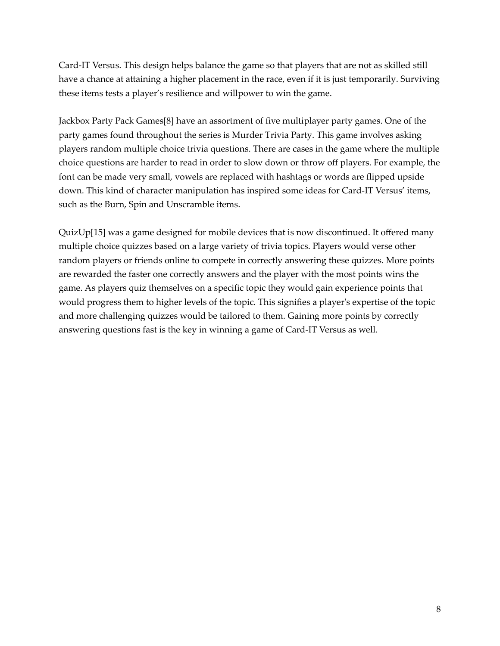Card-IT Versus. This design helps balance the game so that players that are not as skilled still have a chance at attaining a higher placement in the race, even if it is just temporarily. Surviving these items tests a player's resilience and willpower to win the game.

Jackbox Party Pack Games[8] have an assortment of five multiplayer party games. One of the party games found throughout the series is Murder Trivia Party. This game involves asking players random multiple choice trivia questions. There are cases in the game where the multiple choice questions are harder to read in order to slow down or throw off players. For example, the font can be made very small, vowels are replaced with hashtags or words are flipped upside down. This kind of character manipulation has inspired some ideas for Card-IT Versus' items, such as the Burn, Spin and Unscramble items.

QuizUp[15] was a game designed for mobile devices that is now discontinued. It offered many multiple choice quizzes based on a large variety of trivia topics. Players would verse other random players or friends online to compete in correctly answering these quizzes. More points are rewarded the faster one correctly answers and the player with the most points wins the game. As players quiz themselves on a specific topic they would gain experience points that would progress them to higher levels of the topic. This signifies a player's expertise of the topic and more challenging quizzes would be tailored to them. Gaining more points by correctly answering questions fast is the key in winning a game of Card-IT Versus as well.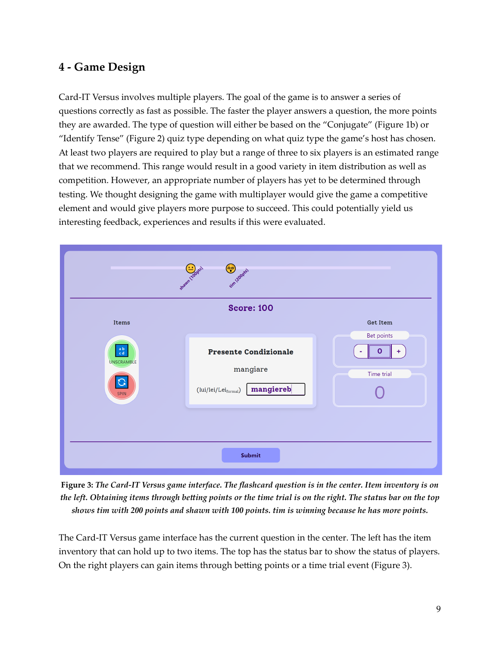# <span id="page-12-0"></span>**4 - Game Design**

Card-IT Versus involves multiple players. The goal of the game is to answer a series of questions correctly as fast as possible. The faster the player answers a question, the more points they are awarded. The type of question will either be based on the "Conjugate" (Figure 1b) or "Identify Tense" (Figure 2) quiz type depending on what quiz type the game's host has chosen. At least two players are required to play but a range of three to six players is an estimated range that we recommend. This range would result in a good variety in item distribution as well as competition. However, an appropriate number of players has yet to be determined through testing. We thought designing the game with multiplayer would give the game a competitive element and would give players more purpose to succeed. This could potentially yield us interesting feedback, experiences and results if this were evaluated.

| eary 2002ts)<br>Strawn 1100grs)                                                     |                                                                                       |                                    |  |  |
|-------------------------------------------------------------------------------------|---------------------------------------------------------------------------------------|------------------------------------|--|--|
| <b>Score: 100</b>                                                                   |                                                                                       |                                    |  |  |
| Items                                                                               |                                                                                       | <b>Get Item</b>                    |  |  |
| $\begin{smallmatrix} a&b\\ c&d \end{smallmatrix}$<br><b>UNSCRAMBLE</b><br>C<br>SPIN | <b>Presente Condizionale</b><br>mangiare<br>mangiereb<br>$(lui/lei/Lei_{\rm formal})$ | Bet points<br>O<br>÷<br>Time trial |  |  |
| <b>Submit</b>                                                                       |                                                                                       |                                    |  |  |

Figure 3: The Card-IT Versus game interface. The flashcard question is in the center. Item inventory is on the left. Obtaining items through betting points or the time trial is on the right. The status bar on the top *shows tim with 200 points and shawn with 100 points. tim is winning because he has more points.*

The Card-IT Versus game interface has the current question in the center. The left has the item inventory that can hold up to two items. The top has the status bar to show the status of players. On the right players can gain items through betting points or a time trial event (Figure 3).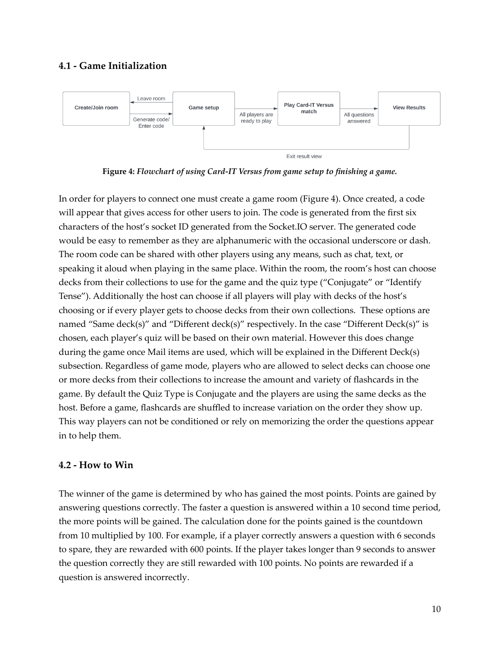## <span id="page-13-0"></span>**4.1 - Game Initialization**



**Figure 4:** *Flowchart of using Card-IT Versus from game setup to finishing a game.*

In order for players to connect one must create a game room (Figure 4). Once created, a code will appear that gives access for other users to join. The code is generated from the first six characters of the host's socket ID generated from the Socket.IO server. The generated code would be easy to remember as they are alphanumeric with the occasional underscore or dash. The room code can be shared with other players using any means, such as chat, text, or speaking it aloud when playing in the same place. Within the room, the room's host can choose decks from their collections to use for the game and the quiz type ("Conjugate" or "Identify Tense"). Additionally the host can choose if all players will play with decks of the host's choosing or if every player gets to choose decks from their own collections. These options are named "Same deck(s)" and "Different deck(s)" respectively. In the case "Different Deck(s)" is chosen, each player's quiz will be based on their own material. However this does change during the game once Mail items are used, which will be explained in the Different Deck(s) subsection. Regardless of game mode, players who are allowed to select decks can choose one or more decks from their collections to increase the amount and variety of flashcards in the game. By default the Quiz Type is Conjugate and the players are using the same decks as the host. Before a game, flashcards are shuffled to increase variation on the order they show up. This way players can not be conditioned or rely on memorizing the order the questions appear in to help them.

#### <span id="page-13-1"></span>**4.2 - How to Win**

The winner of the game is determined by who has gained the most points. Points are gained by answering questions correctly. The faster a question is answered within a 10 second time period, the more points will be gained. The calculation done for the points gained is the countdown from 10 multiplied by 100. For example, if a player correctly answers a question with 6 seconds to spare, they are rewarded with 600 points. If the player takes longer than 9 seconds to answer the question correctly they are still rewarded with 100 points. No points are rewarded if a question is answered incorrectly.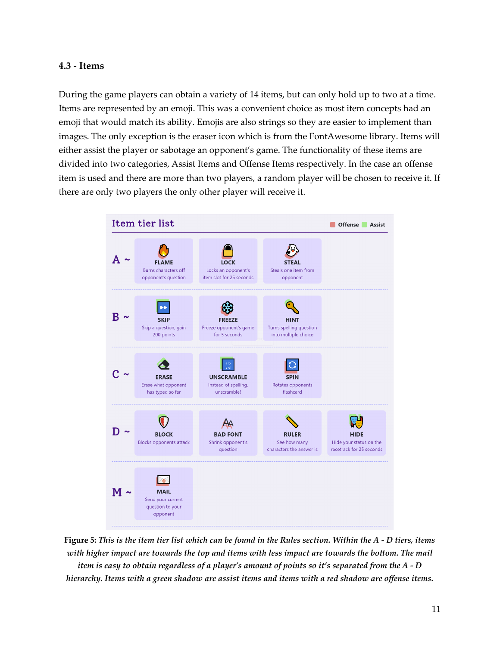#### <span id="page-14-0"></span>**4.3 - Items**

During the game players can obtain a variety of 14 items, but can only hold up to two at a time. Items are represented by an emoji. This was a convenient choice as most item concepts had an emoji that would match its ability. Emojis are also strings so they are easier to implement than images. The only exception is the eraser icon which is from the FontAwesome library. Items will either assist the player or sabotage an opponent's game. The functionality of these items are divided into two categories, Assist Items and Offense Items respectively. In the case an offense item is used and there are more than two players, a random player will be chosen to receive it. If there are only two players the only other player will receive it.



Figure 5: This is the item tier list which can be found in the Rules section. Within the A - D tiers, items *with higher impact are towards the top and items with less impact are towards the bottom. The mail* item is easy to obtain regardless of a player's amount of points so it's separated from the A - D hierarchy. Items with a green shadow are assist items and items with a red shadow are offense items.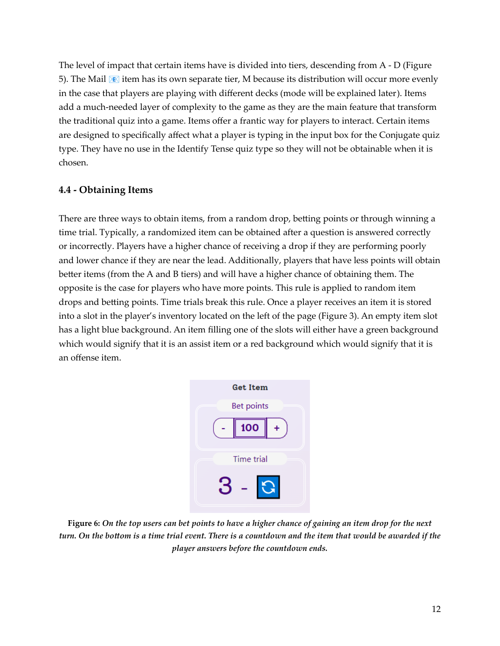The level of impact that certain items have is divided into tiers, descending from A - D (Figure 5). The Mail  $\mathbb{F}$  item has its own separate tier, M because its distribution will occur more evenly in the case that players are playing with different decks (mode will be explained later). Items add a much-needed layer of complexity to the game as they are the main feature that transform the traditional quiz into a game. Items offer a frantic way for players to interact. Certain items are designed to specifically affect what a player is typing in the input box for the Conjugate quiz type. They have no use in the Identify Tense quiz type so they will not be obtainable when it is chosen.

#### <span id="page-15-0"></span>**4.4 - Obtaining Items**

There are three ways to obtain items, from a random drop, betting points or through winning a time trial. Typically, a randomized item can be obtained after a question is answered correctly or incorrectly. Players have a higher chance of receiving a drop if they are performing poorly and lower chance if they are near the lead. Additionally, players that have less points will obtain better items (from the A and B tiers) and will have a higher chance of obtaining them. The opposite is the case for players who have more points. This rule is applied to random item drops and betting points. Time trials break this rule. Once a player receives an item it is stored into a slot in the player's inventory located on the left of the page (Figure 3). An empty item slot has a light blue background. An item filling one of the slots will either have a green background which would signify that it is an assist item or a red background which would signify that it is an offense item.



Figure 6: On the top users can bet points to have a higher chance of gaining an item drop for the next turn. On the bottom is a time trial event. There is a countdown and the item that would be awarded if the *player answers before the countdown ends.*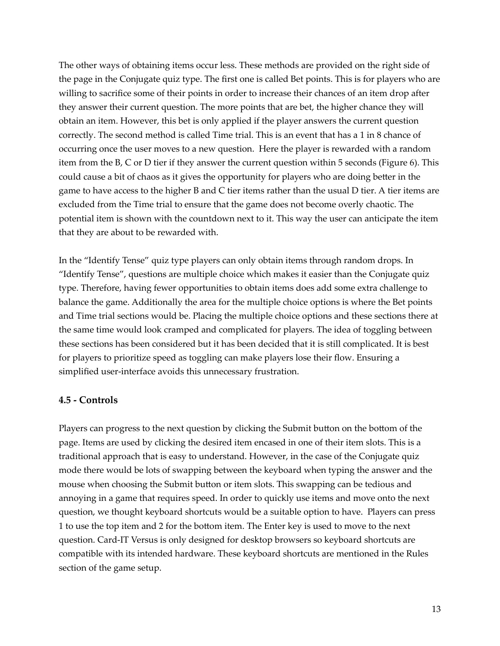The other ways of obtaining items occur less. These methods are provided on the right side of the page in the Conjugate quiz type. The first one is called Bet points. This is for players who are willing to sacrifice some of their points in order to increase their chances of an item drop after they answer their current question. The more points that are bet, the higher chance they will obtain an item. However, this bet is only applied if the player answers the current question correctly. The second method is called Time trial. This is an event that has a 1 in 8 chance of occurring once the user moves to a new question. Here the player is rewarded with a random item from the B, C or D tier if they answer the current question within 5 seconds (Figure 6). This could cause a bit of chaos as it gives the opportunity for players who are doing better in the game to have access to the higher B and C tier items rather than the usual D tier. A tier items are excluded from the Time trial to ensure that the game does not become overly chaotic. The potential item is shown with the countdown next to it. This way the user can anticipate the item that they are about to be rewarded with.

In the "Identify Tense" quiz type players can only obtain items through random drops. In "Identify Tense", questions are multiple choice which makes it easier than the Conjugate quiz type. Therefore, having fewer opportunities to obtain items does add some extra challenge to balance the game. Additionally the area for the multiple choice options is where the Bet points and Time trial sections would be. Placing the multiple choice options and these sections there at the same time would look cramped and complicated for players. The idea of toggling between these sections has been considered but it has been decided that it is still complicated. It is best for players to prioritize speed as toggling can make players lose their flow. Ensuring a simplified user-interface avoids this unnecessary frustration.

#### <span id="page-16-0"></span>**4.5 - Controls**

Players can progress to the next question by clicking the Submit button on the bottom of the page. Items are used by clicking the desired item encased in one of their item slots. This is a traditional approach that is easy to understand. However, in the case of the Conjugate quiz mode there would be lots of swapping between the keyboard when typing the answer and the mouse when choosing the Submit button or item slots. This swapping can be tedious and annoying in a game that requires speed. In order to quickly use items and move onto the next question, we thought keyboard shortcuts would be a suitable option to have. Players can press 1 to use the top item and 2 for the bottom item. The Enter key is used to move to the next question. Card-IT Versus is only designed for desktop browsers so keyboard shortcuts are compatible with its intended hardware. These keyboard shortcuts are mentioned in the Rules section of the game setup.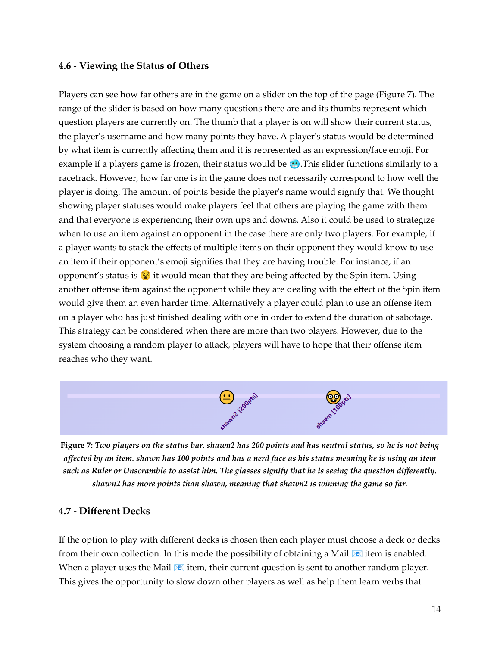#### <span id="page-17-0"></span>**4.6 - Viewing the Status of Others**

Players can see how far others are in the game on a slider on the top of the page (Figure 7). The range of the slider is based on how many questions there are and its thumbs represent which question players are currently on. The thumb that a player is on will show their current status, the player's username and how many points they have. A player's status would be determined by what item is currently affecting them and it is represented as an expression/face emoji. For example if a players game is frozen, their status would be ... This slider functions similarly to a racetrack. However, how far one is in the game does not necessarily correspond to how well the player is doing. The amount of points beside the player's name would signify that. We thought showing player statuses would make players feel that others are playing the game with them and that everyone is experiencing their own ups and downs. Also it could be used to strategize when to use an item against an opponent in the case there are only two players. For example, if a player wants to stack the effects of multiple items on their opponent they would know to use an item if their opponent's emoji signifies that they are having trouble. For instance, if an opponent's status is  $\mathcal{F}$  it would mean that they are being affected by the Spin item. Using another offense item against the opponent while they are dealing with the effect of the Spin item would give them an even harder time. Alternatively a player could plan to use an offense item on a player who has just finished dealing with one in order to extend the duration of sabotage. This strategy can be considered when there are more than two players. However, due to the system choosing a random player to attack, players will have to hope that their offense item reaches who they want.



Figure 7: Two players on the status bar, shawn2 has 200 points and has neutral status, so he is not being affected by an item. shawn has 100 points and has a nerd face as his status meaning he is using an item such as Ruler or Unscramble to assist him. The glasses signify that he is seeing the question differently. *shawn2 has more points than shawn, meaning that shawn2 is winning the game so far.*

#### <span id="page-17-1"></span>**4.7 - Different Decks**

If the option to play with different decks is chosen then each player must choose a deck or decks from their own collection. In this mode the possibility of obtaining a Mail  $\mathbb{F}$  item is enabled. When a player uses the Mail  $\mathbb{F}$  item, their current question is sent to another random player. This gives the opportunity to slow down other players as well as help them learn verbs that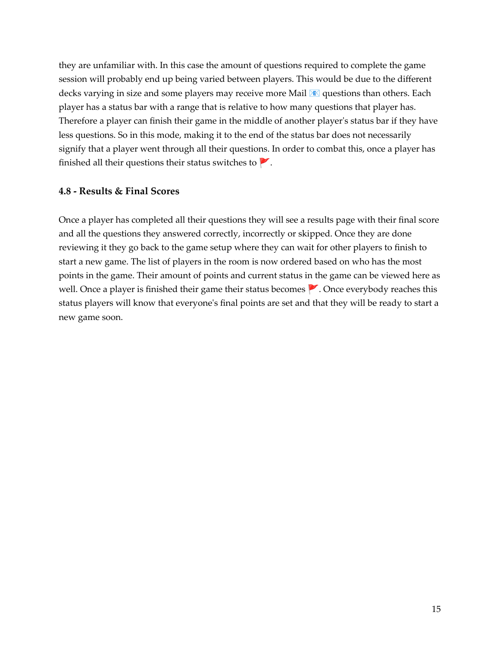they are unfamiliar with. In this case the amount of questions required to complete the game session will probably end up being varied between players. This would be due to the different decks varying in size and some players may receive more Mail **E** questions than others. Each player has a status bar with a range that is relative to how many questions that player has. Therefore a player can finish their game in the middle of another player's status bar if they have less questions. So in this mode, making it to the end of the status bar does not necessarily signify that a player went through all their questions. In order to combat this, once a player has finished all their questions their status switches to  $\blacktriangleright$ .

#### <span id="page-18-0"></span>**4.8 - Results & Final Scores**

Once a player has completed all their questions they will see a results page with their final score and all the questions they answered correctly, incorrectly or skipped. Once they are done reviewing it they go back to the game setup where they can wait for other players to finish to start a new game. The list of players in the room is now ordered based on who has the most points in the game. Their amount of points and current status in the game can be viewed here as well. Once a player is finished their game their status becomes  $\blacktriangleright$ . Once everybody reaches this status players will know that everyone's final points are set and that they will be ready to start a new game soon.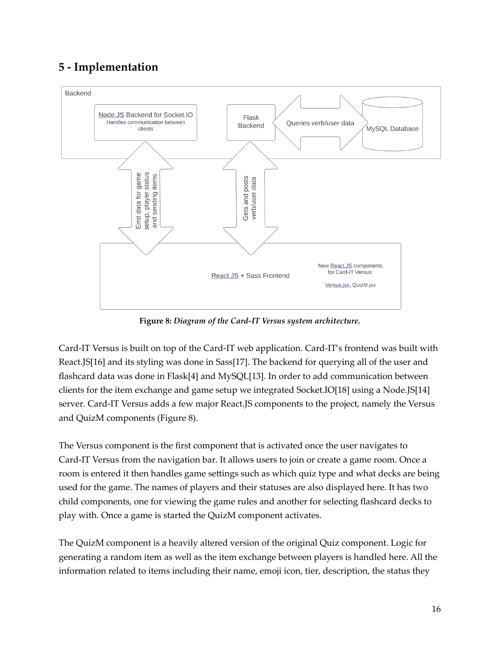# <span id="page-19-0"></span>**5 - Implementation**



**Figure 8:** *Diagram of the Card-IT Versus system architecture.*

Card-IT Versus is built on top of the Card-IT web application. Card-IT's frontend was built with React.JS[16] and its styling was done in Sass[17]. The backend for querying all of the user and flashcard data was done in Flask[4] and MySQL[13]. In order to add communication between clients for the item exchange and game setup we integrated Socket.IO[18] using a Node.JS[14] server. Card-IT Versus adds a few major React.JS components to the project, namely the Versus and QuizM components (Figure 8).

The Versus component is the first component that is activated once the user navigates to Card-IT Versus from the navigation bar. It allows users to join or create a game room. Once a room is entered it then handles game settings such as which quiz type and what decks are being used for the game. The names of players and their statuses are also displayed here. It has two child components, one for viewing the game rules and another for selecting flashcard decks to play with. Once a game is started the QuizM component activates.

The QuizM component is a heavily altered version of the original Quiz component. Logic for generating a random item as well as the item exchange between players is handled here. All the information related to items including their name, emoji icon, tier, description, the status they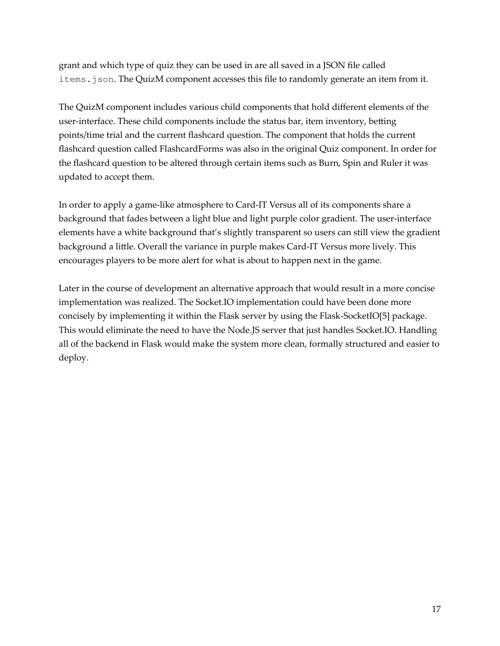grant and which type of quiz they can be used in are all saved in a JSON file called items. json. The QuizM component accesses this file to randomly generate an item from it.

The QuizM component includes various child components that hold different elements of the user-interface. These child components include the status bar, item inventory, betting points/time trial and the current flashcard question. The component that holds the current flashcard question called FlashcardForms was also in the original Quiz component. In order for the flashcard question to be altered through certain items such as Burn, Spin and Ruler it was updated to accept them.

In order to apply a game-like atmosphere to Card-IT Versus all of its components share a background that fades between a light blue and light purple color gradient. The user-interface elements have a white background that's slightly transparent so users can still view the gradient background a little. Overall the variance in purple makes Card-IT Versus more lively. This encourages players to be more alert for what is about to happen next in the game.

Later in the course of development an alternative approach that would result in a more concise implementation was realized. The Socket.IO implementation could have been done more concisely by implementing it within the Flask server by using the Flask-SocketIO[5] package. This would eliminate the need to have the Node.JS server that just handles Socket.IO. Handling all of the backend in Flask would make the system more clean, formally structured and easier to deploy.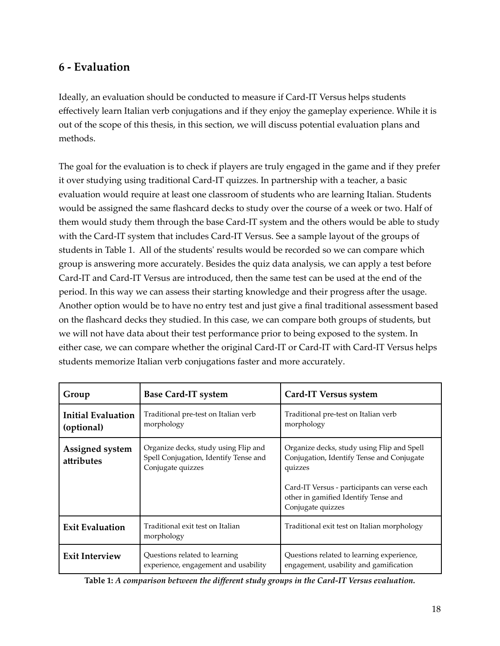# <span id="page-21-0"></span>**6 - Evaluation**

Ideally, an evaluation should be conducted to measure if Card-IT Versus helps students effectively learn Italian verb conjugations and if they enjoy the gameplay experience. While it is out of the scope of this thesis, in this section, we will discuss potential evaluation plans and methods.

The goal for the evaluation is to check if players are truly engaged in the game and if they prefer it over studying using traditional Card-IT quizzes. In partnership with a teacher, a basic evaluation would require at least one classroom of students who are learning Italian. Students would be assigned the same flashcard decks to study over the course of a week or two. Half of them would study them through the base Card-IT system and the others would be able to study with the Card-IT system that includes Card-IT Versus. See a sample layout of the groups of students in Table 1. All of the students' results would be recorded so we can compare which group is answering more accurately. Besides the quiz data analysis, we can apply a test before Card-IT and Card-IT Versus are introduced, then the same test can be used at the end of the period. In this way we can assess their starting knowledge and their progress after the usage. Another option would be to have no entry test and just give a final traditional assessment based on the flashcard decks they studied. In this case, we can compare both groups of students, but we will not have data about their test performance prior to being exposed to the system. In either case, we can compare whether the original Card-IT or Card-IT with Card-IT Versus helps students memorize Italian verb conjugations faster and more accurately.

| Group                                   | <b>Base Card-IT system</b>                                                                         | Card-IT Versus system                                                                                                                                                                                           |
|-----------------------------------------|----------------------------------------------------------------------------------------------------|-----------------------------------------------------------------------------------------------------------------------------------------------------------------------------------------------------------------|
| <b>Initial Evaluation</b><br>(optional) | Traditional pre-test on Italian verb<br>morphology                                                 | Traditional pre-test on Italian verb<br>morphology                                                                                                                                                              |
| Assigned system<br>attributes           | Organize decks, study using Flip and<br>Spell Conjugation, Identify Tense and<br>Conjugate quizzes | Organize decks, study using Flip and Spell<br>Conjugation, Identify Tense and Conjugate<br>quizzes<br>Card-IT Versus - participants can verse each<br>other in gamified Identify Tense and<br>Conjugate quizzes |
| <b>Exit Evaluation</b>                  | Traditional exit test on Italian<br>morphology                                                     | Traditional exit test on Italian morphology                                                                                                                                                                     |
| <b>Exit Interview</b>                   | Questions related to learning<br>experience, engagement and usability                              | Questions related to learning experience,<br>engagement, usability and gamification                                                                                                                             |

**Table 1:** *A comparison between the different study groups in the Card-IT Versus evaluation.*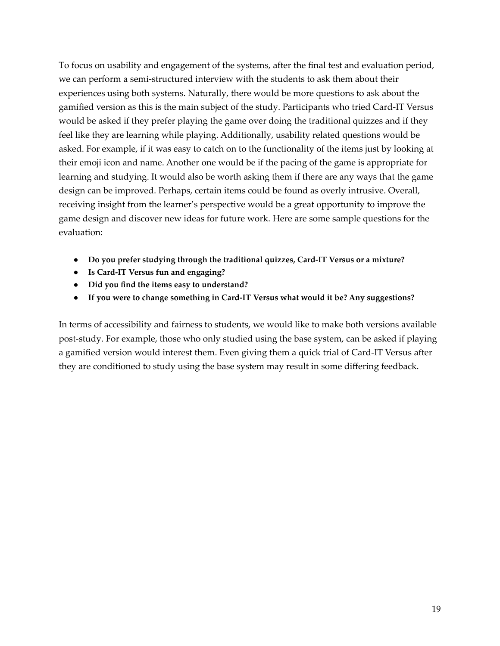To focus on usability and engagement of the systems, after the final test and evaluation period, we can perform a semi-structured interview with the students to ask them about their experiences using both systems. Naturally, there would be more questions to ask about the gamified version as this is the main subject of the study. Participants who tried Card-IT Versus would be asked if they prefer playing the game over doing the traditional quizzes and if they feel like they are learning while playing. Additionally, usability related questions would be asked. For example, if it was easy to catch on to the functionality of the items just by looking at their emoji icon and name. Another one would be if the pacing of the game is appropriate for learning and studying. It would also be worth asking them if there are any ways that the game design can be improved. Perhaps, certain items could be found as overly intrusive. Overall, receiving insight from the learner's perspective would be a great opportunity to improve the game design and discover new ideas for future work. Here are some sample questions for the evaluation:

- **● Do you prefer studying through the traditional quizzes, Card-IT Versus or a mixture?**
- **● Is Card-IT Versus fun and engaging?**
- **● Did you find the items easy to understand?**
- **● If you were to change something in Card-IT Versus what would it be? Any suggestions?**

In terms of accessibility and fairness to students, we would like to make both versions available post-study. For example, those who only studied using the base system, can be asked if playing a gamified version would interest them. Even giving them a quick trial of Card-IT Versus after they are conditioned to study using the base system may result in some differing feedback.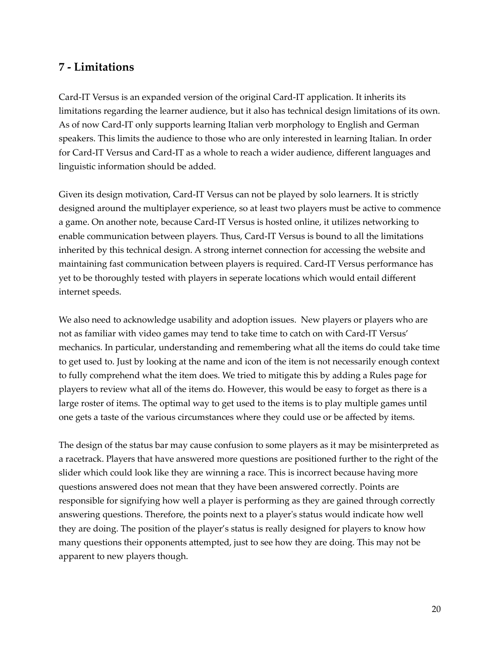# <span id="page-23-0"></span>**7 - Limitations**

Card-IT Versus is an expanded version of the original Card-IT application. It inherits its limitations regarding the learner audience, but it also has technical design limitations of its own. As of now Card-IT only supports learning Italian verb morphology to English and German speakers. This limits the audience to those who are only interested in learning Italian. In order for Card-IT Versus and Card-IT as a whole to reach a wider audience, different languages and linguistic information should be added.

Given its design motivation, Card-IT Versus can not be played by solo learners. It is strictly designed around the multiplayer experience, so at least two players must be active to commence a game. On another note, because Card-IT Versus is hosted online, it utilizes networking to enable communication between players. Thus, Card-IT Versus is bound to all the limitations inherited by this technical design. A strong internet connection for accessing the website and maintaining fast communication between players is required. Card-IT Versus performance has yet to be thoroughly tested with players in seperate locations which would entail different internet speeds.

We also need to acknowledge usability and adoption issues. New players or players who are not as familiar with video games may tend to take time to catch on with Card-IT Versus' mechanics. In particular, understanding and remembering what all the items do could take time to get used to. Just by looking at the name and icon of the item is not necessarily enough context to fully comprehend what the item does. We tried to mitigate this by adding a Rules page for players to review what all of the items do. However, this would be easy to forget as there is a large roster of items. The optimal way to get used to the items is to play multiple games until one gets a taste of the various circumstances where they could use or be affected by items.

The design of the status bar may cause confusion to some players as it may be misinterpreted as a racetrack. Players that have answered more questions are positioned further to the right of the slider which could look like they are winning a race. This is incorrect because having more questions answered does not mean that they have been answered correctly. Points are responsible for signifying how well a player is performing as they are gained through correctly answering questions. Therefore, the points next to a player's status would indicate how well they are doing. The position of the player's status is really designed for players to know how many questions their opponents attempted, just to see how they are doing. This may not be apparent to new players though.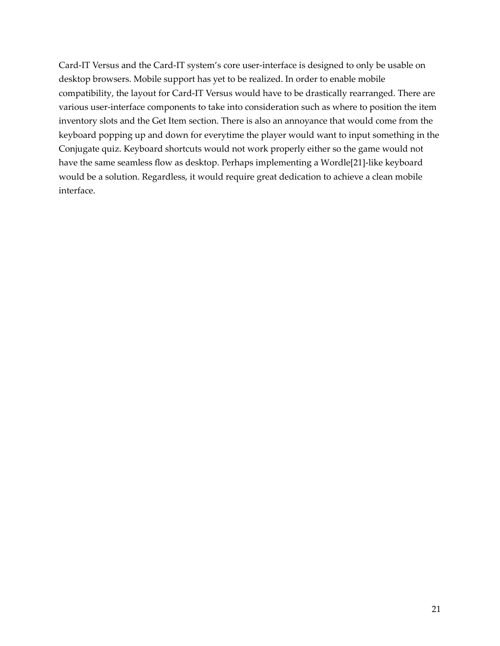Card-IT Versus and the Card-IT system's core user-interface is designed to only be usable on desktop browsers. Mobile support has yet to be realized. In order to enable mobile compatibility, the layout for Card-IT Versus would have to be drastically rearranged. There are various user-interface components to take into consideration such as where to position the item inventory slots and the Get Item section. There is also an annoyance that would come from the keyboard popping up and down for everytime the player would want to input something in the Conjugate quiz. Keyboard shortcuts would not work properly either so the game would not have the same seamless flow as desktop. Perhaps implementing a Wordle[21]-like keyboard would be a solution. Regardless, it would require great dedication to achieve a clean mobile interface.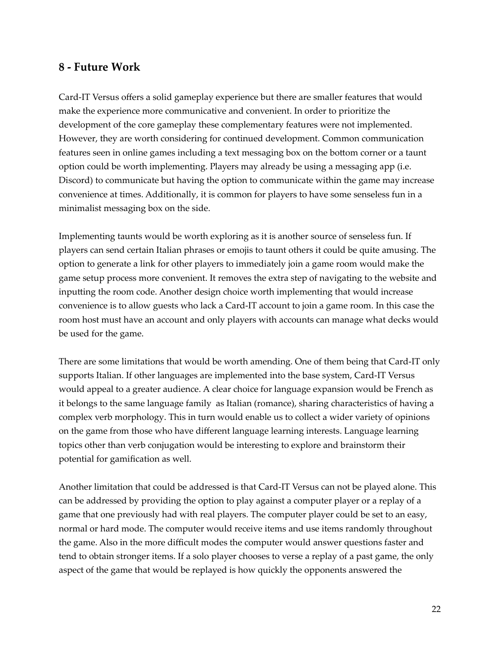## <span id="page-25-0"></span>**8 - Future Work**

Card-IT Versus offers a solid gameplay experience but there are smaller features that would make the experience more communicative and convenient. In order to prioritize the development of the core gameplay these complementary features were not implemented. However, they are worth considering for continued development. Common communication features seen in online games including a text messaging box on the bottom corner or a taunt option could be worth implementing. Players may already be using a messaging app (i.e. Discord) to communicate but having the option to communicate within the game may increase convenience at times. Additionally, it is common for players to have some senseless fun in a minimalist messaging box on the side.

Implementing taunts would be worth exploring as it is another source of senseless fun. If players can send certain Italian phrases or emojis to taunt others it could be quite amusing. The option to generate a link for other players to immediately join a game room would make the game setup process more convenient. It removes the extra step of navigating to the website and inputting the room code. Another design choice worth implementing that would increase convenience is to allow guests who lack a Card-IT account to join a game room. In this case the room host must have an account and only players with accounts can manage what decks would be used for the game.

There are some limitations that would be worth amending. One of them being that Card-IT only supports Italian. If other languages are implemented into the base system, Card-IT Versus would appeal to a greater audience. A clear choice for language expansion would be French as it belongs to the same language family as Italian (romance), sharing characteristics of having a complex verb morphology. This in turn would enable us to collect a wider variety of opinions on the game from those who have different language learning interests. Language learning topics other than verb conjugation would be interesting to explore and brainstorm their potential for gamification as well.

Another limitation that could be addressed is that Card-IT Versus can not be played alone. This can be addressed by providing the option to play against a computer player or a replay of a game that one previously had with real players. The computer player could be set to an easy, normal or hard mode. The computer would receive items and use items randomly throughout the game. Also in the more difficult modes the computer would answer questions faster and tend to obtain stronger items. If a solo player chooses to verse a replay of a past game, the only aspect of the game that would be replayed is how quickly the opponents answered the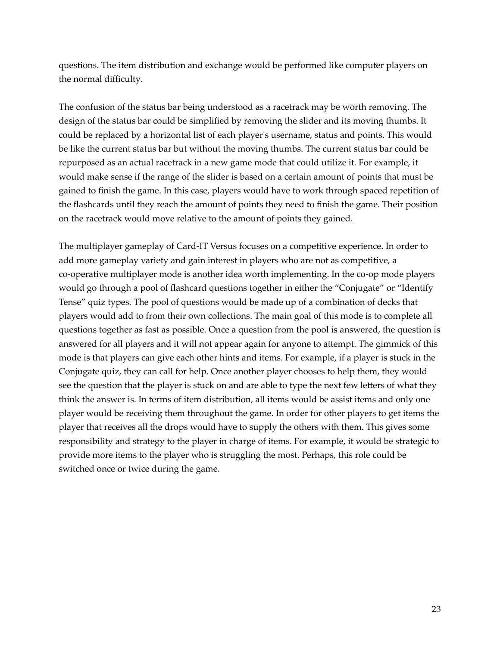questions. The item distribution and exchange would be performed like computer players on the normal difficulty.

The confusion of the status bar being understood as a racetrack may be worth removing. The design of the status bar could be simplified by removing the slider and its moving thumbs. It could be replaced by a horizontal list of each player's username, status and points. This would be like the current status bar but without the moving thumbs. The current status bar could be repurposed as an actual racetrack in a new game mode that could utilize it. For example, it would make sense if the range of the slider is based on a certain amount of points that must be gained to finish the game. In this case, players would have to work through spaced repetition of the flashcards until they reach the amount of points they need to finish the game. Their position on the racetrack would move relative to the amount of points they gained.

The multiplayer gameplay of Card-IT Versus focuses on a competitive experience. In order to add more gameplay variety and gain interest in players who are not as competitive, a co-operative multiplayer mode is another idea worth implementing. In the co-op mode players would go through a pool of flashcard questions together in either the "Conjugate" or "Identify Tense" quiz types. The pool of questions would be made up of a combination of decks that players would add to from their own collections. The main goal of this mode is to complete all questions together as fast as possible. Once a question from the pool is answered, the question is answered for all players and it will not appear again for anyone to attempt. The gimmick of this mode is that players can give each other hints and items. For example, if a player is stuck in the Conjugate quiz, they can call for help. Once another player chooses to help them, they would see the question that the player is stuck on and are able to type the next few letters of what they think the answer is. In terms of item distribution, all items would be assist items and only one player would be receiving them throughout the game. In order for other players to get items the player that receives all the drops would have to supply the others with them. This gives some responsibility and strategy to the player in charge of items. For example, it would be strategic to provide more items to the player who is struggling the most. Perhaps, this role could be switched once or twice during the game.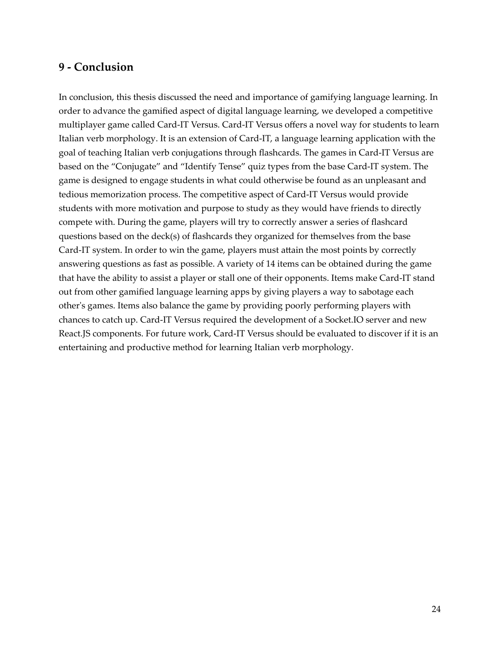# <span id="page-27-0"></span>**9 - Conclusion**

In conclusion, this thesis discussed the need and importance of gamifying language learning. In order to advance the gamified aspect of digital language learning, we developed a competitive multiplayer game called Card-IT Versus. Card-IT Versus offers a novel way for students to learn Italian verb morphology. It is an extension of Card-IT, a language learning application with the goal of teaching Italian verb conjugations through flashcards. The games in Card-IT Versus are based on the "Conjugate" and "Identify Tense" quiz types from the base Card-IT system. The game is designed to engage students in what could otherwise be found as an unpleasant and tedious memorization process. The competitive aspect of Card-IT Versus would provide students with more motivation and purpose to study as they would have friends to directly compete with. During the game, players will try to correctly answer a series of flashcard questions based on the deck(s) of flashcards they organized for themselves from the base Card-IT system. In order to win the game, players must attain the most points by correctly answering questions as fast as possible. A variety of 14 items can be obtained during the game that have the ability to assist a player or stall one of their opponents. Items make Card-IT stand out from other gamified language learning apps by giving players a way to sabotage each other's games. Items also balance the game by providing poorly performing players with chances to catch up. Card-IT Versus required the development of a Socket.IO server and new React.JS components. For future work, Card-IT Versus should be evaluated to discover if it is an entertaining and productive method for learning Italian verb morphology.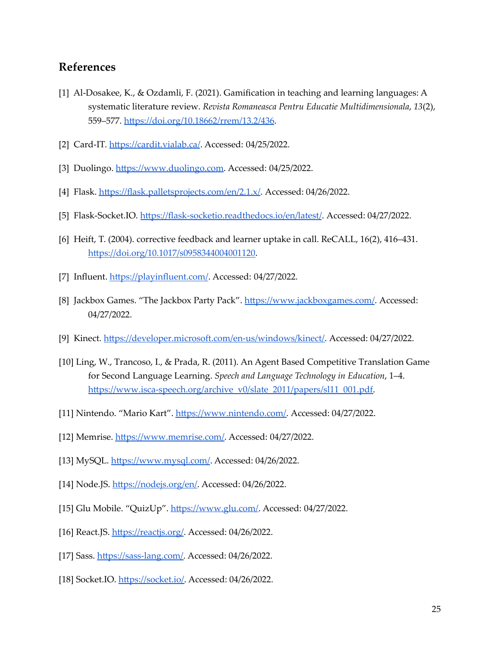## <span id="page-28-0"></span>**References**

- [1] Al-Dosakee, K., & Ozdamli, F. (2021). Gamification in teaching and learning languages: A systematic literature review. *Revista Romaneasca Pentru Educatie Multidimensionala*, *13*(2), 559–577. <https://doi.org/10.18662/rrem/13.2/436>.
- [2] Card-IT. <https://cardit.vialab.ca/>. Accessed: 04/25/2022.
- [3] Duolingo. [https://www.duolingo.com.](https://www.duolingo.com) Accessed: 04/25/2022.
- [4] Flask. <https://flask.palletsprojects.com/en/2.1.x/>. Accessed: 04/26/2022.
- [5] Flask-Socket.IO. <https://flask-socketio.readthedocs.io/en/latest/>. Accessed: 04/27/2022.
- [6] Heift, T. (2004). corrective feedback and learner uptake in call. ReCALL, 16(2), 416–431. [https://doi.org/10.1017/s0958344004001120.](https://doi.org/10.1017/s0958344004001120)
- [7] Influent. <https://playinfluent.com/>. Accessed: 04/27/2022.
- [8] Jackbox Games. "The Jackbox Party Pack". <https://www.jackboxgames.com/>. Accessed: 04/27/2022.
- [9] Kinect. [https://developer.microsoft.com/en-us/windows/kinect/.](https://developer.microsoft.com/en-us/windows/kinect/) Accessed: 04/27/2022.
- [10] Ling, W., Trancoso, I., & Prada, R. (2011). An Agent Based Competitive Translation Game for Second Language Learning. *Speech and Language Technology in Education*, 1–4. [https://www.isca-speech.org/archive\\_v0/slate\\_2011/papers/sl11\\_001.pdf.](https://doi.org/https://www.isca-speech.org/archive_v0/slate_2011/papers/sl11_001.pdf)
- [11] Nintendo. "Mario Kart". [https://www.nintendo.com/.](https://www.nintendo.com/) Accessed: 04/27/2022.
- [12] Memrise. [https://www.memrise.com/.](https://www.memrise.com/) Accessed: 04/27/2022.
- [13] MySQL. <https://www.mysql.com/>. Accessed: 04/26/2022.
- [14] Node.JS. [https://nodejs.org/en/.](https://nodejs.org/en/) Accessed: 04/26/2022.
- [15] Glu Mobile. "QuizUp". [https://www.glu.com/.](https://www.glu.com/) Accessed: 04/27/2022.
- [16] React.JS. <https://reactjs.org/>. Accessed: 04/26/2022.
- [17] Sass. [https://sass-lang.com/.](https://sass-lang.com/) Accessed: 04/26/2022.
- [18] Socket.IO. [https://socket.io/.](https://socket.io/) Accessed: 04/26/2022.